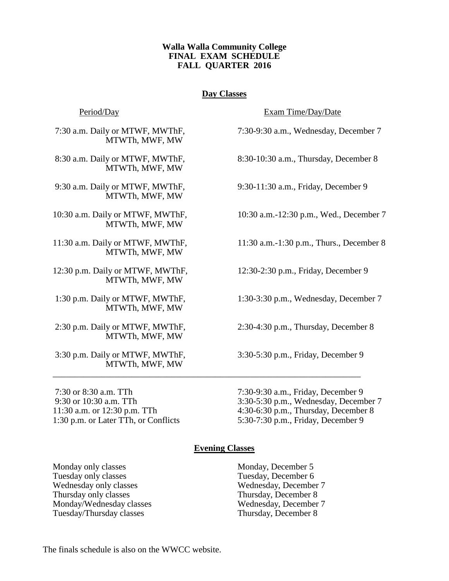## **Walla Walla Community College FINAL EXAM SCHEDULE FALL QUARTER 2016**

# **Day Classes**

MTWTh, MWF, MW

MTWTh, MWF, MW

MTWTh, MWF, MW

MTWTh, MWF, MW

MTWTh, MWF, MW

12:30 p.m. Daily or MTWF, MWThF, 12:30-2:30 p.m., Friday, December 9 MTWTh, MWF, MW

MTWTh, MWF, MW

2:30 p.m. Daily or MTWF, MWThF, 2:30-4:30 p.m., Thursday, December 8 MTWTh, MWF, MW

3:30 p.m. Daily or MTWF, MWThF, 3:30-5:30 p.m., Friday, December 9 MTWTh, MWF, MW

Period/Day Exam Time/Day/Date

7:30 a.m. Daily or MTWF, MWThF, 7:30-9:30 a.m., Wednesday, December 7

8:30 a.m. Daily or MTWF, MWThF, 8:30-10:30 a.m., Thursday, December 8

9:30 a.m. Daily or MTWF, MWThF, 9:30-11:30 a.m., Friday, December 9

10:30 a.m. Daily or MTWF, MWThF, 10:30 a.m.-12:30 p.m., Wed., December 7

11:30 a.m. Daily or MTWF, MWThF, 11:30 a.m.-1:30 p.m., Thurs., December 8

1:30 p.m. Daily or MTWF, MWThF, 1:30-3:30 p.m., Wednesday, December 7

7:30 or 8:30 a.m. TTh 7:30-9:30 a.m., Friday, December 9 9:30 or 10:30 a.m. TTh 3:30-5:30 p.m., Wednesday, December 7 11:30 a.m. or 12:30 p.m. TTh 4:30-6:30 p.m., Thursday, December 8 1:30 p.m. or Later TTh, or Conflicts 5:30-7:30 p.m., Friday, December 9

### **Evening Classes**

\_\_\_\_\_\_\_\_\_\_\_\_\_\_\_\_\_\_\_\_\_\_\_\_\_\_\_\_\_\_\_\_\_\_\_\_\_\_\_\_\_\_\_\_\_\_\_\_\_\_\_\_\_\_\_\_\_\_\_\_\_\_\_\_\_\_\_\_\_\_

Monday only classes Monday, December 5 Tuesday only classes Tuesday, December 6 Wednesday only classes Wednesday, December 7 Thursday only classes Thursday, December 8 Monday/Wednesday classes Wednesday, December 7 Tuesday/Thursday classes Thursday, December 8

The finals schedule is also on the WWCC website.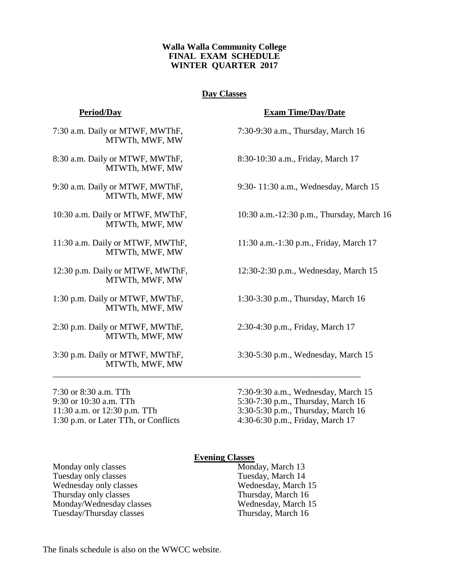## **Walla Walla Community College FINAL EXAM SCHEDULE WINTER QUARTER 2017**

# **Day Classes**

7:30 a.m. Daily or MTWF, MWThF, 7:30-9:30 a.m., Thursday, March 16 MTWTh, MWF, MW

8:30 a.m. Daily or MTWF, MWThF, 8:30-10:30 a.m., Friday, March 17 MTWTh, MWF, MW

MTWTh, MWF, MW

MTWTh, MWF, MW

MTWTh, MWF, MW

MTWTh, MWF, MW

1:30 p.m. Daily or MTWF, MWThF, 1:30-3:30 p.m., Thursday, March 16 MTWTh, MWF, MW

2:30 p.m. Daily or MTWF, MWThF, 2:30-4:30 p.m., Friday, March 17 MTWTh, MWF, MW

MTWTh, MWF, MW

1:30 p.m. or Later TTh, or Conflicts 4:30-6:30 p.m., Friday, March 17

### **Period/Day Exam Time/Day/Date**

9:30 a.m. Daily or MTWF, MWThF, 9:30- 11:30 a.m., Wednesday, March 15

10:30 a.m. Daily or MTWF, MWThF, 10:30 a.m.-12:30 p.m., Thursday, March 16

11:30 a.m. Daily or MTWF, MWThF, 11:30 a.m.-1:30 p.m., Friday, March 17

12:30 p.m. Daily or MTWF, MWThF, 12:30-2:30 p.m., Wednesday, March 15

3:30 p.m. Daily or MTWF, MWThF, 3:30-5:30 p.m., Wednesday, March 15

7:30 or 8:30 a.m. TTh 7:30-9:30 a.m., Wednesday, March 15 9:30 or 10:30 a.m. TTh 5:30-7:30 p.m., Thursday, March 16 11:30 a.m. or 12:30 p.m. TTh 3:30-5:30 p.m., Thursday, March 16

### **Evening Classes**

\_\_\_\_\_\_\_\_\_\_\_\_\_\_\_\_\_\_\_\_\_\_\_\_\_\_\_\_\_\_\_\_\_\_\_\_\_\_\_\_\_\_\_\_\_\_\_\_\_\_\_\_\_\_\_\_\_\_\_\_\_\_\_\_\_\_\_\_\_\_

Monday only classes Monday, March 13 Tuesday only classes Tuesday, March 14 Wednesday only classes Wednesday, March 15 Thursday only classes<br>
Mondav/Wednesday classes<br>
Thursday, March 15<br>
Wednesday, March 15 Monday/Wednesday classes Tuesday/Thursday classes Thursday, March 16

The finals schedule is also on the WWCC website.